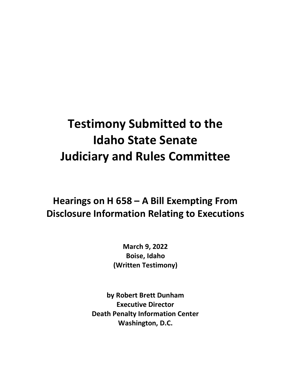## **Testimony Submitted to the Idaho State Senate Judiciary and Rules Committee**

## **Hearings on H 658 – A Bill Exempting From Disclosure Information Relating to Executions**

**March 9, 2022 Boise, Idaho (Written Testimony)**

**by Robert Brett Dunham Executive Director Death Penalty Information Center Washington, D.C.**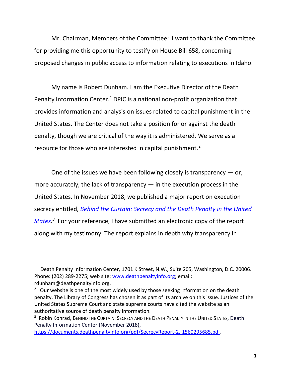Mr. Chairman, Members of the Committee: I want to thank the Committee for providing me this opportunity to testify on House Bill 658, concerning proposed changes in public access to information relating to executions in Idaho.

My name is Robert Dunham. I am the Executive Director of the Death Penalty Information Center.<sup>1</sup> DPIC is a national non-profit organization that provides information and analysis on issues related to capital punishment in the United States. The Center does not take a position for or against the death penalty, though we are critical of the way it is administered. We serve as a resource for those who are interested in capital punishment.<sup>2</sup>

One of the issues we have been following closely is transparency  $-$  or, more accurately, the lack of transparency  $-$  in the execution process in the United States. In November 2018, we published a major report on execution secrecy entitled, *[Behind the Curtain: Secrecy and the Death Penalty in the United](https://deathpenaltyinfo.org/files/pdf/SecrecyReport.pdf)  [States.](https://deathpenaltyinfo.org/files/pdf/SecrecyReport.pdf) 3* For your reference, I have submitted an electronic copy of the report along with my testimony. The report explains in depth why transparency in

<sup>&</sup>lt;sup>1</sup> Death Penalty Information Center, 1701 K Street, N.W., Suite 205, Washington, D.C. 20006. Phone: (202) 289-2275; web site: [www.deathpenaltyinfo.org;](http://www.deathpenaltyinfo.org/) email: rdunham@deathpenaltyinfo.org.

 $2$  Our website is one of the most widely used by those seeking information on the death penalty. The Library of Congress has chosen it as part of its archive on this issue. Justices of the United States Supreme Court and state supreme courts have cited the website as an authoritative source of death penalty information.

**<sup>3</sup>** Robin Konrad, BEHIND THE CURTAIN: SECRECY AND THE DEATH PENALTY IN THE UNITED STATES, Death Penalty Information Center (November 2018),

[https://documents.deathpenaltyinfo.org/pdf/SecrecyReport-2.f1560295685.pdf.](https://documents.deathpenaltyinfo.org/pdf/SecrecyReport-2.f1560295685.pdf)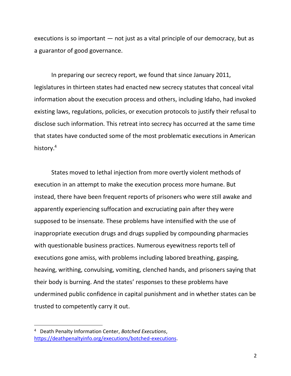executions is so important — not just as a vital principle of our democracy, but as a guarantor of good governance.

In preparing our secrecy report, we found that since January 2011, legislatures in thirteen states had enacted new secrecy statutes that conceal vital information about the execution process and others, including Idaho, had invoked existing laws, regulations, policies, or execution protocols to justify their refusal to disclose such information. This retreat into secrecy has occurred at the same time that states have conducted some of the most problematic executions in American history.<sup>4</sup>

States moved to lethal injection from more overtly violent methods of execution in an attempt to make the execution process more humane. But instead, there have been frequent reports of prisoners who were still awake and apparently experiencing suffocation and excruciating pain after they were supposed to be insensate. These problems have intensified with the use of inappropriate execution drugs and drugs supplied by compounding pharmacies with questionable business practices. Numerous eyewitness reports tell of executions gone amiss, with problems including labored breathing, gasping, heaving, writhing, convulsing, vomiting, clenched hands, and prisoners saying that their body is burning. And the states' responses to these problems have undermined public confidence in capital punishment and in whether states can be trusted to competently carry it out.

<sup>4</sup> Death Penalty Information Center, *Botched Executions*, [https://deathpenaltyinfo.org/executions/botched-executions.](https://deathpenaltyinfo.org/executions/botched-executions)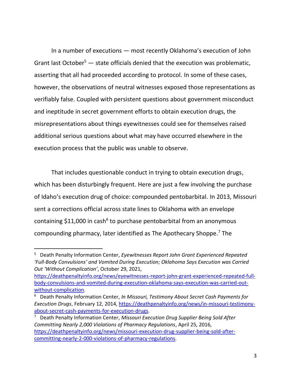In a number of executions — most recently Oklahoma's execution of John Grant last October<sup>5</sup>  $-$  state officials denied that the execution was problematic, asserting that all had proceeded according to protocol. In some of these cases, however, the observations of neutral witnesses exposed those representations as verifiably false. Coupled with persistent questions about government misconduct and ineptitude in secret government efforts to obtain execution drugs, the misrepresentations about things eyewitnesses could see for themselves raised additional serious questions about what may have occurred elsewhere in the execution process that the public was unable to observe.

That includes questionable conduct in trying to obtain execution drugs, which has been disturbingly frequent. Here are just a few involving the purchase of Idaho's execution drug of choice: compounded pentobarbital. In 2013, Missouri sent a corrections official across state lines to Oklahoma with an envelope containing \$11,000 in cash<sup>6</sup> to purchase pentobarbital from an anonymous compounding pharmacy, later identified as The Apothecary Shoppe. <sup>7</sup> The

<sup>5</sup> Death Penalty Information Center, *Eyewitnesses Report John Grant Experienced Repeated 'Full-Body Convulsions' and Vomited During Execution; Oklahoma Says Execution was Carried Out 'Without Complication'*, October 29, 2021,

[https://deathpenaltyinfo.org/news/eyewitnesses-report-john-grant-experienced-repeated-full](https://deathpenaltyinfo.org/news/eyewitnesses-report-john-grant-experienced-repeated-full-body-convulsions-and-vomited-during-execution-oklahoma-says-execution-was-carried-out-without-complication)[body-convulsions-and-vomited-during-execution-oklahoma-says-execution-was-carried-out](https://deathpenaltyinfo.org/news/eyewitnesses-report-john-grant-experienced-repeated-full-body-convulsions-and-vomited-during-execution-oklahoma-says-execution-was-carried-out-without-complication)[without-complication.](https://deathpenaltyinfo.org/news/eyewitnesses-report-john-grant-experienced-repeated-full-body-convulsions-and-vomited-during-execution-oklahoma-says-execution-was-carried-out-without-complication)

<sup>6</sup> Death Penalty Information Center, *In Missouri, Testimony About Secret Cash Payments for Execution Drugs*, February 12, 2014, [https://deathpenaltyinfo.org/news/in-missouri-testimony](https://deathpenaltyinfo.org/news/in-missouri-testimony-about-secret-cash-payments-for-execution-drugs)[about-secret-cash-payments-for-execution-drugs.](https://deathpenaltyinfo.org/news/in-missouri-testimony-about-secret-cash-payments-for-execution-drugs)

<sup>7</sup> Death Penalty Information Center, *Missouri Execution Drug Supplier Being Sold After Committing Nearly 2,000 Violations of Pharmacy Regulations*, April 25, 2016, [https://deathpenaltyinfo.org/news/missouri-execution-drug-supplier-being-sold-after](https://deathpenaltyinfo.org/news/missouri-execution-drug-supplier-being-sold-after-committing-nearly-2-000-violations-of-pharmacy-regulations)[committing-nearly-2-000-violations-of-pharmacy-regulations.](https://deathpenaltyinfo.org/news/missouri-execution-drug-supplier-being-sold-after-committing-nearly-2-000-violations-of-pharmacy-regulations)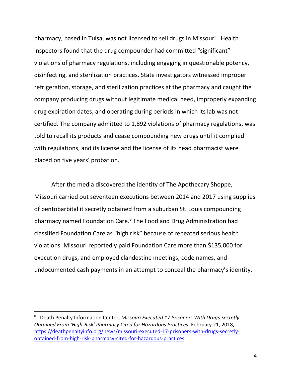pharmacy, based in Tulsa, was not licensed to sell drugs in Missouri. Health inspectors found that the drug compounder had committed "significant" violations of pharmacy regulations, including engaging in questionable potency, disinfecting, and sterilization practices. State investigators witnessed improper refrigeration, storage, and sterilization practices at the pharmacy and caught the company producing drugs without legitimate medical need, improperly expanding drug expiration dates, and operating during periods in which its lab was not certified. The company admitted to 1,892 violations of pharmacy regulations, was told to recall its products and cease compounding new drugs until it complied with regulations, and its license and the license of its head pharmacist were placed on five years' probation.

After the media discovered the identity of The Apothecary Shoppe, Missouri carried out seventeen executions between 2014 and 2017 using supplies of pentobarbital it secretly obtained from a suburban St. Louis compounding pharmacy named Foundation Care. <sup>8</sup> The Food and Drug Administration had classified Foundation Care as "high risk" because of repeated serious health violations. Missouri reportedly paid Foundation Care more than \$135,000 for execution drugs, and employed clandestine meetings, code names, and undocumented cash payments in an attempt to conceal the pharmacy's identity.

<sup>8</sup> Death Penalty Information Center, *Missouri Executed 17 Prisoners With Drugs Secretly Obtained From 'High-Risk' Pharmacy Cited for Hazardous Practices*, February 21, 2018, [https://deathpenaltyinfo.org/news/missouri-executed-17-prisoners-with-drugs-secretly](https://deathpenaltyinfo.org/news/missouri-executed-17-prisoners-with-drugs-secretly-obtained-from-high-risk-pharmacy-cited-for-hazardous-practices)[obtained-from-high-risk-pharmacy-cited-for-hazardous-practices.](https://deathpenaltyinfo.org/news/missouri-executed-17-prisoners-with-drugs-secretly-obtained-from-high-risk-pharmacy-cited-for-hazardous-practices)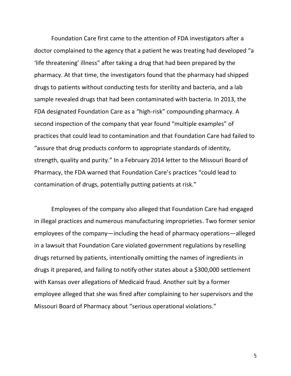Foundation Care first came to the attention of FDA investigators after a doctor complained to the agency that a patient he was treating had developed "a 'life threatening' illness" after taking a drug that had been prepared by the pharmacy. At that time, the investigators found that the pharmacy had shipped drugs to patients without conducting tests for sterility and bacteria, and a lab sample revealed drugs that had been contaminated with bacteria. In 2013, the FDA designated Foundation Care as a "high-risk" compounding pharmacy. A second inspection of the company that year found "multiple examples" of practices that could lead to contamination and that Foundation Care had failed to "assure that drug products conform to appropriate standards of identity, strength, quality and purity." In a February 2014 letter to the Missouri Board of Pharmacy, the FDA warned that Foundation Care's practices "could lead to contamination of drugs, potentially putting patients at risk."

Employees of the company also alleged that Foundation Care had engaged in illegal practices and numerous manufacturing improprieties. Two former senior employees of the company—including the head of pharmacy operations—alleged in a lawsuit that Foundation Care violated government regulations by reselling drugs returned by patients, intentionally omitting the names of ingredients in drugs it prepared, and failing to notify other states about a \$300,000 settlement with Kansas over allegations of Medicaid fraud. Another suit by a former employee alleged that she was fired after complaining to her supervisors and the Missouri Board of Pharmacy about "serious operational violations."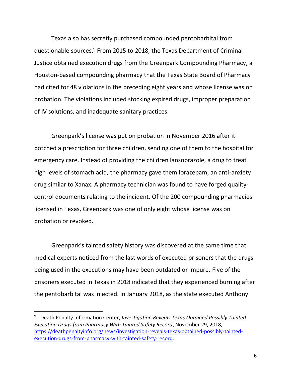Texas also has secretly purchased compounded pentobarbital from questionable sources.<sup>9</sup> From 2015 to 2018, the Texas Department of Criminal Justice obtained execution drugs from the Greenpark Compounding Pharmacy, a Houston-based compounding pharmacy that the Texas State Board of Pharmacy had cited for 48 violations in the preceding eight years and whose license was on probation. The violations included stocking expired drugs, improper preparation of IV solutions, and inadequate sanitary practices.

Greenpark's license was put on probation in November 2016 after it botched a prescription for three children, sending one of them to the hospital for emergency care. Instead of providing the children lansoprazole, a drug to treat high levels of stomach acid, the pharmacy gave them lorazepam, an anti-anxiety drug similar to Xanax. A pharmacy technician was found to have forged qualitycontrol documents relating to the incident. Of the 200 compounding pharmacies licensed in Texas, Greenpark was one of only eight whose license was on probation or revoked.

Greenpark's tainted safety history was discovered at the same time that medical experts noticed from the last words of executed prisoners that the drugs being used in the executions may have been outdated or impure. Five of the prisoners executed in Texas in 2018 indicated that they experienced burning after the pentobarbital was injected. In January 2018, as the state executed Anthony

<sup>9</sup> Death Penalty Information Center, *Investigation Reveals Texas Obtained Possibly Tainted Execution Drugs from Pharmacy With Tainted Safety Record*, November 29, 2018, [https://deathpenaltyinfo.org/news/investigation-reveals-texas-obtained-possibly-tainted](https://deathpenaltyinfo.org/news/investigation-reveals-texas-obtained-possibly-tainted-execution-drugs-from-pharmacy-with-tainted-safety-record)[execution-drugs-from-pharmacy-with-tainted-safety-record.](https://deathpenaltyinfo.org/news/investigation-reveals-texas-obtained-possibly-tainted-execution-drugs-from-pharmacy-with-tainted-safety-record)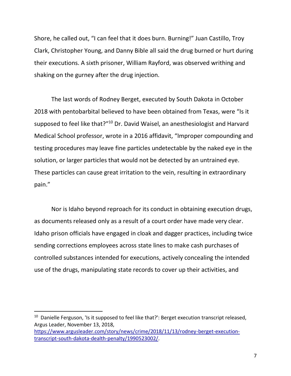Shore, he called out, "I can feel that it does burn. Burning!" Juan Castillo, Troy Clark, Christopher Young, and Danny Bible all said the drug burned or hurt during their executions. A sixth prisoner, William Rayford, was observed writhing and shaking on the gurney after the drug injection.

The last words of Rodney Berget, executed by South Dakota in October 2018 with pentobarbital believed to have been obtained from Texas, were "Is it supposed to feel like that?"<sup>10</sup> Dr. David Waisel, an anesthesiologist and Harvard Medical School professor, wrote in a 2016 affidavit, "Improper compounding and testing procedures may leave fine particles undetectable by the naked eye in the solution, or larger particles that would not be detected by an untrained eye. These particles can cause great irritation to the vein, resulting in extraordinary pain."

Nor is Idaho beyond reproach for its conduct in obtaining execution drugs, as documents released only as a result of a court order have made very clear. Idaho prison officials have engaged in cloak and dagger practices, including twice sending corrections employees across state lines to make cash purchases of controlled substances intended for executions, actively concealing the intended use of the drugs, manipulating state records to cover up their activities, and

<sup>&</sup>lt;sup>10</sup> Danielle Ferguson, 'Is it supposed to feel like that?': Berget execution transcript released, Argus Leader, November 13, 2018,

[https://www.argusleader.com/story/news/crime/2018/11/13/rodney-berget-execution](https://www.argusleader.com/story/news/crime/2018/11/13/rodney-berget-execution-transcript-south-dakota-dealth-penalty/1990523002/)[transcript-south-dakota-dealth-penalty/1990523002/.](https://www.argusleader.com/story/news/crime/2018/11/13/rodney-berget-execution-transcript-south-dakota-dealth-penalty/1990523002/)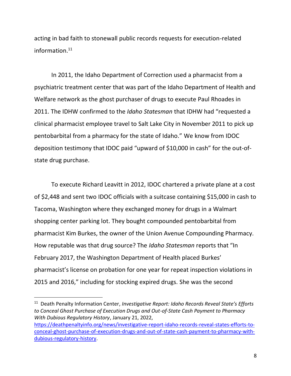acting in bad faith to stonewall public records requests for execution-related information. 11

In 2011, the Idaho Department of Correction used a pharmacist from a psychiatric treatment center that was part of the Idaho Department of Health and Welfare network as the ghost purchaser of drugs to execute Paul Rhoades in 2011. The IDHW confirmed to the *Idaho Statesman* that IDHW had "requested a clinical pharmacist employee travel to Salt Lake City in November 2011 to pick up pentobarbital from a pharmacy for the state of Idaho." We know from IDOC deposition testimony that IDOC paid "upward of \$10,000 in cash" for the out-ofstate drug purchase.

To execute Richard Leavitt in 2012, IDOC chartered a private plane at a cost of \$2,448 and sent two IDOC officials with a suitcase containing \$15,000 in cash to Tacoma, Washington where they exchanged money for drugs in a Walmart shopping center parking lot. They bought compounded pentobarbital from pharmacist Kim Burkes, the owner of the Union Avenue Compounding Pharmacy. How reputable was that drug source? The *Idaho Statesman* reports that "In February 2017, the Washington Department of Health placed Burkes' pharmacist's license on probation for one year for repeat inspection violations in 2015 and 2016," including for stocking expired drugs. She was the second

<sup>&</sup>lt;sup>11</sup> Death Penalty Information Center, *Investigative Report: Idaho Records Reveal State's Efforts to Conceal Ghost Purchase of Execution Drugs and Out-of-State Cash Payment to Pharmacy With Dubious Regulatory History*, January 21, 2022,

[https://deathpenaltyinfo.org/news/investigative-report-idaho-records-reveal-states-efforts-to](https://deathpenaltyinfo.org/news/investigative-report-idaho-records-reveal-states-efforts-to-conceal-ghost-purchase-of-execution-drugs-and-out-of-state-cash-payment-to-pharmacy-with-dubious-regulatory-history)[conceal-ghost-purchase-of-execution-drugs-and-out-of-state-cash-payment-to-pharmacy-with](https://deathpenaltyinfo.org/news/investigative-report-idaho-records-reveal-states-efforts-to-conceal-ghost-purchase-of-execution-drugs-and-out-of-state-cash-payment-to-pharmacy-with-dubious-regulatory-history)[dubious-regulatory-history.](https://deathpenaltyinfo.org/news/investigative-report-idaho-records-reveal-states-efforts-to-conceal-ghost-purchase-of-execution-drugs-and-out-of-state-cash-payment-to-pharmacy-with-dubious-regulatory-history)